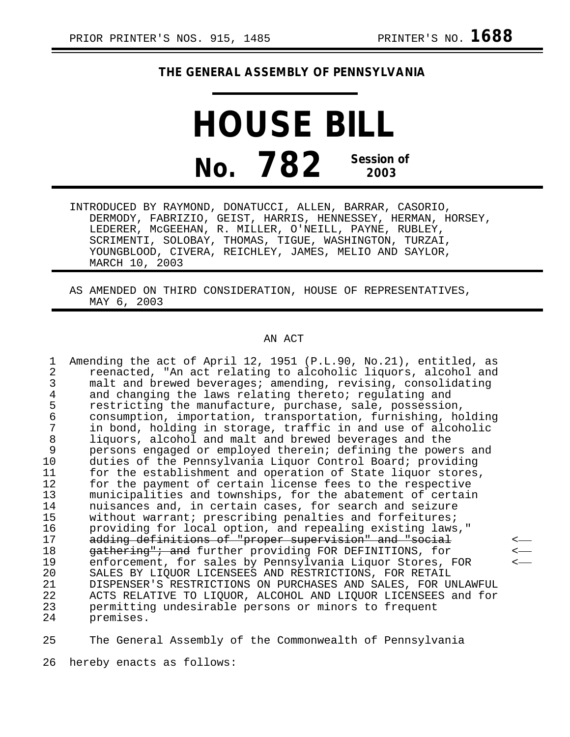## **THE GENERAL ASSEMBLY OF PENNSYLVANIA**

**HOUSE BILL No. 782 Session of 2003**

INTRODUCED BY RAYMOND, DONATUCCI, ALLEN, BARRAR, CASORIO, DERMODY, FABRIZIO, GEIST, HARRIS, HENNESSEY, HERMAN, HORSEY, LEDERER, McGEEHAN, R. MILLER, O'NEILL, PAYNE, RUBLEY, SCRIMENTI, SOLOBAY, THOMAS, TIGUE, WASHINGTON, TURZAI, YOUNGBLOOD, CIVERA, REICHLEY, JAMES, MELIO AND SAYLOR, MARCH 10, 2003

AS AMENDED ON THIRD CONSIDERATION, HOUSE OF REPRESENTATIVES, MAY 6, 2003

## AN ACT

1 Amending the act of April 12, 1951 (P.L.90, No.21), entitled, as<br>2 reenacted, "An act relating to alcoholic liguors, alcohol and 2 reenacted, "An act relating to alcoholic liquors, alcohol and<br>3 malt and brewed beverages; amending, revising, consolidating 3 malt and brewed beverages; amending, revising, consolidating<br>4 and changing the laws relating thereto; regulating and 4 and changing the laws relating thereto; regulating and<br>5 restricting the manufacture, purchase, sale, possessio 5 restricting the manufacture, purchase, sale, possession,<br>6 consumption, importation, transportation, furnishing, ho 6 consumption, importation, transportation, furnishing, holding 7 in bond, holding in storage, traffic in and use of alcoholic 8 liquors, alcohol and malt and brewed beverages and the<br>9 persons engaged or emploved therein; defining the powe persons engaged or employed therein; defining the powers and 10 duties of the Pennsylvania Liquor Control Board; providing<br>11 for the establishment and operation of State liquor stores for the establishment and operation of State liquor stores, 12 for the payment of certain license fees to the respective<br>13 municipalities and townships, for the abatement of certai 13 municipalities and townships, for the abatement of certain<br>14 muisances and, in certain cases, for search and seizure 14 muisances and, in certain cases, for search and seizure<br>15 without warrant; prescribing penalties and forfeitures; 15 without warrant; prescribing penalties and forfeitures;<br>16 providing for local option, and repealing existing laws 16 providing for local option, and repealing existing laws,"<br>17 adding definitions of "proper supervision" and "social 17 adding definitions of "proper supervision" and "social 18 and target supervision" and "social 18 18 gathering"; and further providing FOR DEFINITIONS, for 19<br>19 enforcement, for sales by Pennsylvania Liquor Stores, 19 enforcement, for sales by Pennsylvania Liquor Stores, FOR < 20 SALES BY LIQUOR LICENSEES AND RESTRICTIONS, FOR RETAIL<br>21 DISPENSER'S RESTRICTIONS ON PURCHASES AND SALES, FOR U 21 DISPENSER'S RESTRICTIONS ON PURCHASES AND SALES, FOR UNLAWFUL<br>22 ACTS RELATIVE TO LIOUOR, ALCOHOL AND LIOUOR LICENSEES and for 22 ACTS RELATIVE TO LIQUOR, ALCOHOL AND LIQUOR LICENSEES and for 23 permitting undesirable persons or minors to frequent premises.

25 The General Assembly of the Commonwealth of Pennsylvania

26 hereby enacts as follows: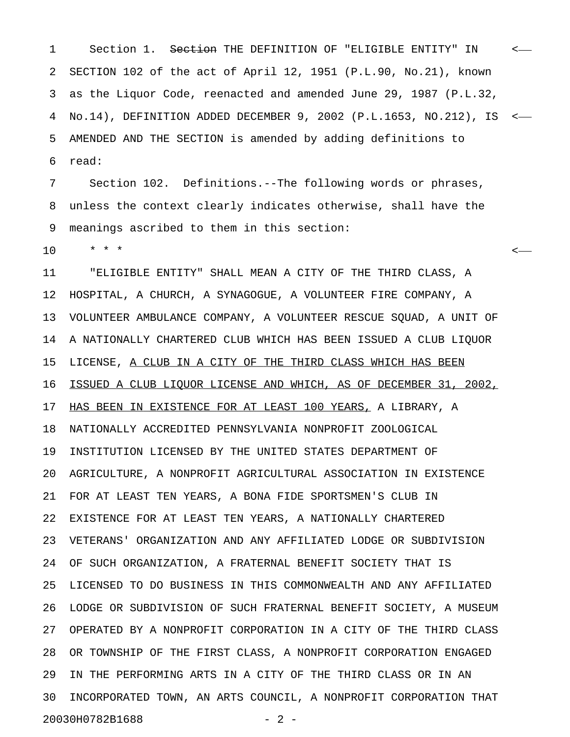1 Section 1. S<del>ection</del> THE DEFINITION OF "ELIGIBLE ENTITY" IN <-2 SECTION 102 of the act of April 12, 1951 (P.L.90, No.21), known 3 as the Liquor Code, reenacted and amended June 29, 1987 (P.L.32, 4 No.14), DEFINITION ADDED DECEMBER 9, 2002 (P.L.1653, NO.212), IS < 5 AMENDED AND THE SECTION is amended by adding definitions to 6 read:

7 Section 102. Definitions.--The following words or phrases, 8 unless the context clearly indicates otherwise, shall have the 9 meanings ascribed to them in this section:

10 \* \* \* <

11 "ELIGIBLE ENTITY" SHALL MEAN A CITY OF THE THIRD CLASS, A 12 HOSPITAL, A CHURCH, A SYNAGOGUE, A VOLUNTEER FIRE COMPANY, A 13 VOLUNTEER AMBULANCE COMPANY, A VOLUNTEER RESCUE SQUAD, A UNIT OF 14 A NATIONALLY CHARTERED CLUB WHICH HAS BEEN ISSUED A CLUB LIQUOR 15 LICENSE, A CLUB IN A CITY OF THE THIRD CLASS WHICH HAS BEEN 16 ISSUED A CLUB LIQUOR LICENSE AND WHICH, AS OF DECEMBER 31, 2002, 17 HAS BEEN IN EXISTENCE FOR AT LEAST 100 YEARS, A LIBRARY, A 18 NATIONALLY ACCREDITED PENNSYLVANIA NONPROFIT ZOOLOGICAL 19 INSTITUTION LICENSED BY THE UNITED STATES DEPARTMENT OF 20 AGRICULTURE, A NONPROFIT AGRICULTURAL ASSOCIATION IN EXISTENCE 21 FOR AT LEAST TEN YEARS, A BONA FIDE SPORTSMEN'S CLUB IN 22 EXISTENCE FOR AT LEAST TEN YEARS, A NATIONALLY CHARTERED 23 VETERANS' ORGANIZATION AND ANY AFFILIATED LODGE OR SUBDIVISION 24 OF SUCH ORGANIZATION, A FRATERNAL BENEFIT SOCIETY THAT IS 25 LICENSED TO DO BUSINESS IN THIS COMMONWEALTH AND ANY AFFILIATED 26 LODGE OR SUBDIVISION OF SUCH FRATERNAL BENEFIT SOCIETY, A MUSEUM 27 OPERATED BY A NONPROFIT CORPORATION IN A CITY OF THE THIRD CLASS 28 OR TOWNSHIP OF THE FIRST CLASS, A NONPROFIT CORPORATION ENGAGED 29 IN THE PERFORMING ARTS IN A CITY OF THE THIRD CLASS OR IN AN 30 INCORPORATED TOWN, AN ARTS COUNCIL, A NONPROFIT CORPORATION THAT 20030H0782B1688 - 2 -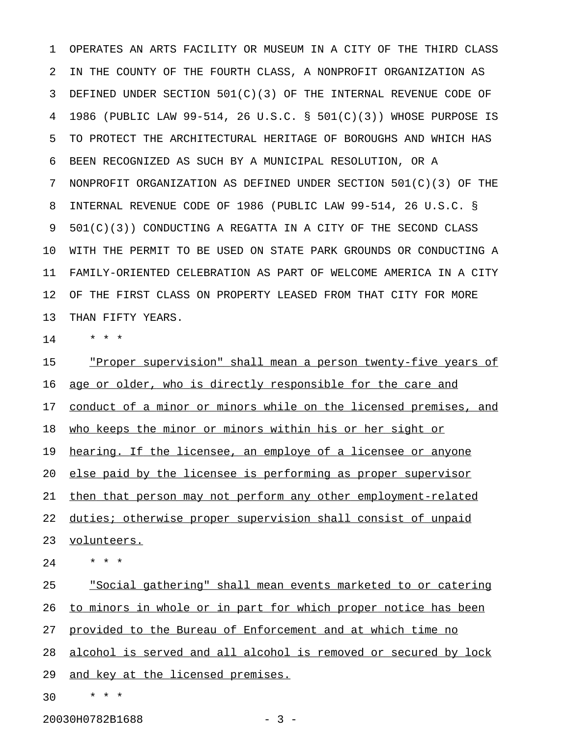1 OPERATES AN ARTS FACILITY OR MUSEUM IN A CITY OF THE THIRD CLASS 2 IN THE COUNTY OF THE FOURTH CLASS, A NONPROFIT ORGANIZATION AS 3 DEFINED UNDER SECTION 501(C)(3) OF THE INTERNAL REVENUE CODE OF 4 1986 (PUBLIC LAW 99-514, 26 U.S.C. § 501(C)(3)) WHOSE PURPOSE IS 5 TO PROTECT THE ARCHITECTURAL HERITAGE OF BOROUGHS AND WHICH HAS 6 BEEN RECOGNIZED AS SUCH BY A MUNICIPAL RESOLUTION, OR A 7 NONPROFIT ORGANIZATION AS DEFINED UNDER SECTION 501(C)(3) OF THE 8 INTERNAL REVENUE CODE OF 1986 (PUBLIC LAW 99-514, 26 U.S.C. § 9 501(C)(3)) CONDUCTING A REGATTA IN A CITY OF THE SECOND CLASS 10 WITH THE PERMIT TO BE USED ON STATE PARK GROUNDS OR CONDUCTING A 11 FAMILY-ORIENTED CELEBRATION AS PART OF WELCOME AMERICA IN A CITY 12 OF THE FIRST CLASS ON PROPERTY LEASED FROM THAT CITY FOR MORE 13 THAN FIFTY YEARS.

 $14$  \* \* \*

15 The <u>"Proper supervision"</u> shall mean a person twenty-five years of 16 age or older, who is directly responsible for the care and 17 conduct of a minor or minors while on the licensed premises, and 18 who keeps the minor or minors within his or her sight or 19 hearing. If the licensee, an employe of a licensee or anyone 20 else paid by the licensee is performing as proper supervisor 21 then that person may not perform any other employment-related 22 duties; otherwise proper supervision shall consist of unpaid 23 volunteers.  $24 \times * * * *$ 25 . Social gathering" shall mean events marketed to or catering 26 to minors in whole or in part for which proper notice has been

27 provided to the Bureau of Enforcement and at which time no

28 alcohol is served and all alcohol is removed or secured by lock 29 and key at the licensed premises.

30 \* \* \*

20030H0782B1688 - 3 -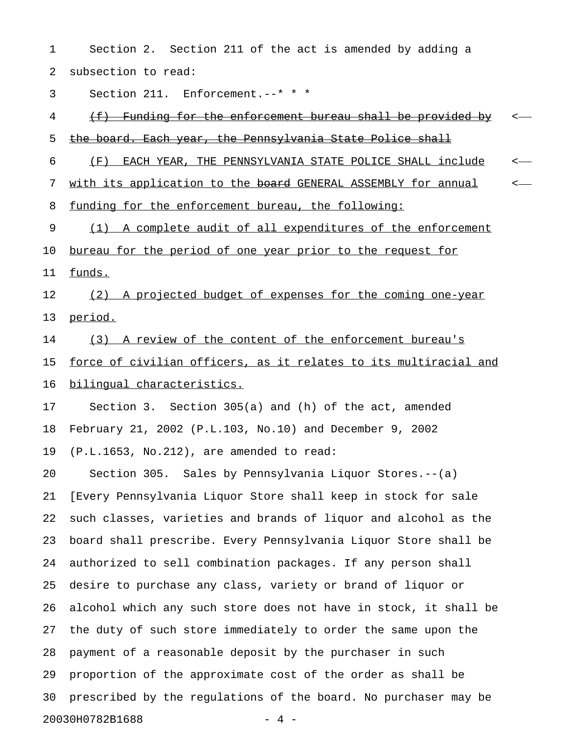1 Section 2. Section 211 of the act is amended by adding a 2 subsection to read: 3 Section 211. Enforcement.--\* \* \* 4 (f) Funding for the enforcement bureau shall be provided by < \_\_\_\_\_\_\_\_\_\_\_\_\_\_\_\_\_\_\_\_\_\_\_\_\_\_\_\_\_\_\_\_\_\_\_\_\_\_\_\_\_\_\_\_\_\_\_\_\_\_\_\_\_\_\_\_\_\_\_\_ 5 the board. Each year, the Pennsylvania State Police shall 6 (F) EACH YEAR, THE PENNSYLVANIA STATE POLICE SHALL include  $\sim$ 7 with its application to the board GENERAL ASSEMBLY for annual  $\sim$ 8 funding for the enforcement bureau, the following: 9 (1) A complete audit of all expenditures of the enforcement 10 <u>bureau for the period of one year prior to the request for</u> 11 funds. 12 (2) A projected budget of expenses for the coming one-year 13 period.

14 (3) A review of the content of the enforcement bureau's

15 force of civilian officers, as it relates to its multiracial and 16 bilingual characteristics.

17 Section 3. Section 305(a) and (h) of the act, amended 18 February 21, 2002 (P.L.103, No.10) and December 9, 2002 19 (P.L.1653, No.212), are amended to read:

20 Section 305. Sales by Pennsylvania Liquor Stores.--(a) 21 [Every Pennsylvania Liquor Store shall keep in stock for sale 22 such classes, varieties and brands of liquor and alcohol as the 23 board shall prescribe. Every Pennsylvania Liquor Store shall be 24 authorized to sell combination packages. If any person shall 25 desire to purchase any class, variety or brand of liquor or 26 alcohol which any such store does not have in stock, it shall be 27 the duty of such store immediately to order the same upon the 28 payment of a reasonable deposit by the purchaser in such 29 proportion of the approximate cost of the order as shall be 30 prescribed by the regulations of the board. No purchaser may be 20030H0782B1688 - 4 -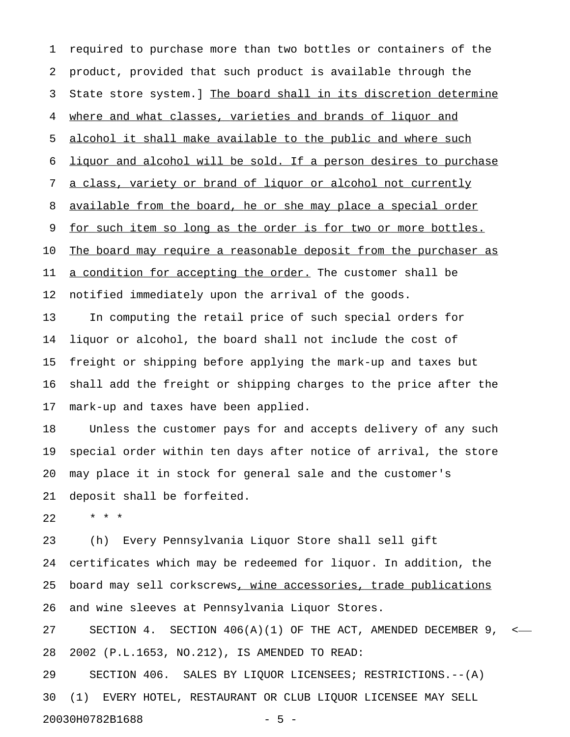1 required to purchase more than two bottles or containers of the 2 product, provided that such product is available through the 3 State store system.] The board shall in its discretion determine 4 where and what classes, varieties and brands of liquor and 5 alcohol it shall make available to the public and where such 6 liquor and alcohol will be sold. If a person desires to purchase 7 a class, variety or brand of liquor or alcohol not currently 8 available from the board, he or she may place a special order 9 <u>for such item so long as the order is for two or more bottles.</u> 10 The board may require a reasonable deposit from the purchaser as 11 a condition for accepting the order. The customer shall be 12 notified immediately upon the arrival of the goods. 13 In computing the retail price of such special orders for 14 liquor or alcohol, the board shall not include the cost of 15 freight or shipping before applying the mark-up and taxes but 16 shall add the freight or shipping charges to the price after the 17 mark-up and taxes have been applied.

18 Unless the customer pays for and accepts delivery of any such 19 special order within ten days after notice of arrival, the store 20 may place it in stock for general sale and the customer's 21 deposit shall be forfeited.

22 \* \* \*

23 (h) Every Pennsylvania Liquor Store shall sell gift 24 certificates which may be redeemed for liquor. In addition, the 25 board may sell corkscrews, wine accessories, trade publications 26 and wine sleeves at Pennsylvania Liquor Stores.

27 SECTION 4. SECTION 406(A)(1) OF THE ACT, AMENDED DECEMBER 9, < 28 2002 (P.L.1653, NO.212), IS AMENDED TO READ:

29 SECTION 406. SALES BY LIQUOR LICENSEES; RESTRICTIONS.--(A) 30 (1) EVERY HOTEL, RESTAURANT OR CLUB LIQUOR LICENSEE MAY SELL 20030H0782B1688 - 5 -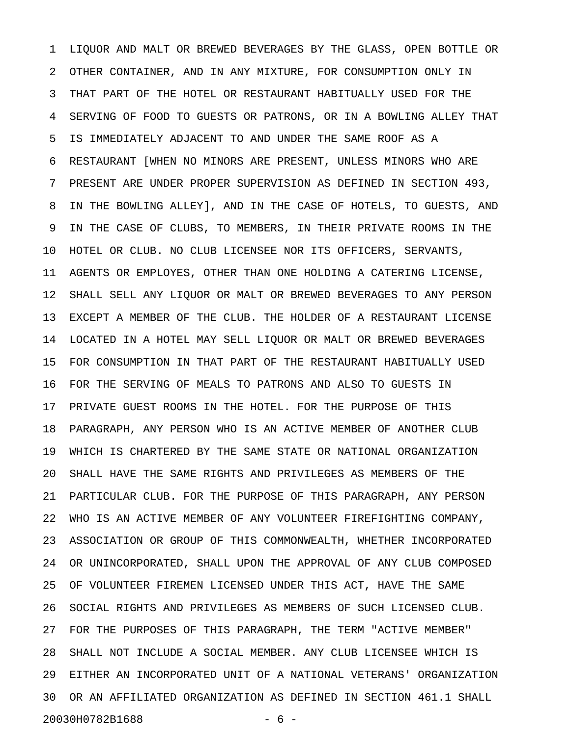1 LIQUOR AND MALT OR BREWED BEVERAGES BY THE GLASS, OPEN BOTTLE OR 2 OTHER CONTAINER, AND IN ANY MIXTURE, FOR CONSUMPTION ONLY IN 3 THAT PART OF THE HOTEL OR RESTAURANT HABITUALLY USED FOR THE 4 SERVING OF FOOD TO GUESTS OR PATRONS, OR IN A BOWLING ALLEY THAT 5 IS IMMEDIATELY ADJACENT TO AND UNDER THE SAME ROOF AS A 6 RESTAURANT [WHEN NO MINORS ARE PRESENT, UNLESS MINORS WHO ARE 7 PRESENT ARE UNDER PROPER SUPERVISION AS DEFINED IN SECTION 493, 8 IN THE BOWLING ALLEY], AND IN THE CASE OF HOTELS, TO GUESTS, AND 9 IN THE CASE OF CLUBS, TO MEMBERS, IN THEIR PRIVATE ROOMS IN THE 10 HOTEL OR CLUB. NO CLUB LICENSEE NOR ITS OFFICERS, SERVANTS, 11 AGENTS OR EMPLOYES, OTHER THAN ONE HOLDING A CATERING LICENSE, 12 SHALL SELL ANY LIQUOR OR MALT OR BREWED BEVERAGES TO ANY PERSON 13 EXCEPT A MEMBER OF THE CLUB. THE HOLDER OF A RESTAURANT LICENSE 14 LOCATED IN A HOTEL MAY SELL LIQUOR OR MALT OR BREWED BEVERAGES 15 FOR CONSUMPTION IN THAT PART OF THE RESTAURANT HABITUALLY USED 16 FOR THE SERVING OF MEALS TO PATRONS AND ALSO TO GUESTS IN 17 PRIVATE GUEST ROOMS IN THE HOTEL. FOR THE PURPOSE OF THIS 18 PARAGRAPH, ANY PERSON WHO IS AN ACTIVE MEMBER OF ANOTHER CLUB 19 WHICH IS CHARTERED BY THE SAME STATE OR NATIONAL ORGANIZATION 20 SHALL HAVE THE SAME RIGHTS AND PRIVILEGES AS MEMBERS OF THE 21 PARTICULAR CLUB. FOR THE PURPOSE OF THIS PARAGRAPH, ANY PERSON 22 WHO IS AN ACTIVE MEMBER OF ANY VOLUNTEER FIREFIGHTING COMPANY, 23 ASSOCIATION OR GROUP OF THIS COMMONWEALTH, WHETHER INCORPORATED 24 OR UNINCORPORATED, SHALL UPON THE APPROVAL OF ANY CLUB COMPOSED 25 OF VOLUNTEER FIREMEN LICENSED UNDER THIS ACT, HAVE THE SAME 26 SOCIAL RIGHTS AND PRIVILEGES AS MEMBERS OF SUCH LICENSED CLUB. 27 FOR THE PURPOSES OF THIS PARAGRAPH, THE TERM "ACTIVE MEMBER" 28 SHALL NOT INCLUDE A SOCIAL MEMBER. ANY CLUB LICENSEE WHICH IS 29 EITHER AN INCORPORATED UNIT OF A NATIONAL VETERANS' ORGANIZATION 30 OR AN AFFILIATED ORGANIZATION AS DEFINED IN SECTION 461.1 SHALL 20030H0782B1688 - 6 -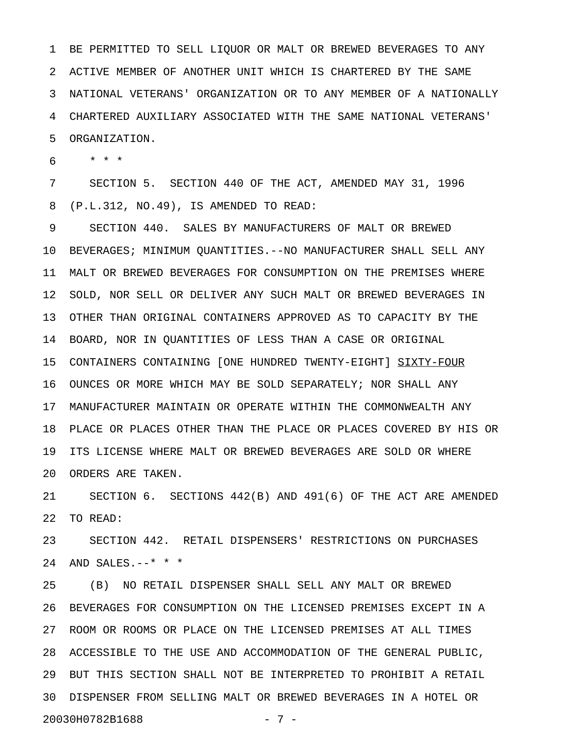1 BE PERMITTED TO SELL LIQUOR OR MALT OR BREWED BEVERAGES TO ANY 2 ACTIVE MEMBER OF ANOTHER UNIT WHICH IS CHARTERED BY THE SAME 3 NATIONAL VETERANS' ORGANIZATION OR TO ANY MEMBER OF A NATIONALLY 4 CHARTERED AUXILIARY ASSOCIATED WITH THE SAME NATIONAL VETERANS' 5 ORGANIZATION.

6 \* \* \*

7 SECTION 5. SECTION 440 OF THE ACT, AMENDED MAY 31, 1996 8 (P.L.312, NO.49), IS AMENDED TO READ:

9 SECTION 440. SALES BY MANUFACTURERS OF MALT OR BREWED 10 BEVERAGES; MINIMUM QUANTITIES.--NO MANUFACTURER SHALL SELL ANY 11 MALT OR BREWED BEVERAGES FOR CONSUMPTION ON THE PREMISES WHERE 12 SOLD, NOR SELL OR DELIVER ANY SUCH MALT OR BREWED BEVERAGES IN 13 OTHER THAN ORIGINAL CONTAINERS APPROVED AS TO CAPACITY BY THE 14 BOARD, NOR IN QUANTITIES OF LESS THAN A CASE OR ORIGINAL 15 CONTAINERS CONTAINING [ONE HUNDRED TWENTY-EIGHT] SIXTY-FOUR 16 OUNCES OR MORE WHICH MAY BE SOLD SEPARATELY; NOR SHALL ANY 17 MANUFACTURER MAINTAIN OR OPERATE WITHIN THE COMMONWEALTH ANY 18 PLACE OR PLACES OTHER THAN THE PLACE OR PLACES COVERED BY HIS OR 19 ITS LICENSE WHERE MALT OR BREWED BEVERAGES ARE SOLD OR WHERE 20 ORDERS ARE TAKEN.

21 SECTION 6. SECTIONS 442(B) AND 491(6) OF THE ACT ARE AMENDED 22 TO READ:

23 SECTION 442. RETAIL DISPENSERS' RESTRICTIONS ON PURCHASES 24 AND SALES.--\* \* \*

25 (B) NO RETAIL DISPENSER SHALL SELL ANY MALT OR BREWED 26 BEVERAGES FOR CONSUMPTION ON THE LICENSED PREMISES EXCEPT IN A 27 ROOM OR ROOMS OR PLACE ON THE LICENSED PREMISES AT ALL TIMES 28 ACCESSIBLE TO THE USE AND ACCOMMODATION OF THE GENERAL PUBLIC, 29 BUT THIS SECTION SHALL NOT BE INTERPRETED TO PROHIBIT A RETAIL 30 DISPENSER FROM SELLING MALT OR BREWED BEVERAGES IN A HOTEL OR 20030H0782B1688 - 7 -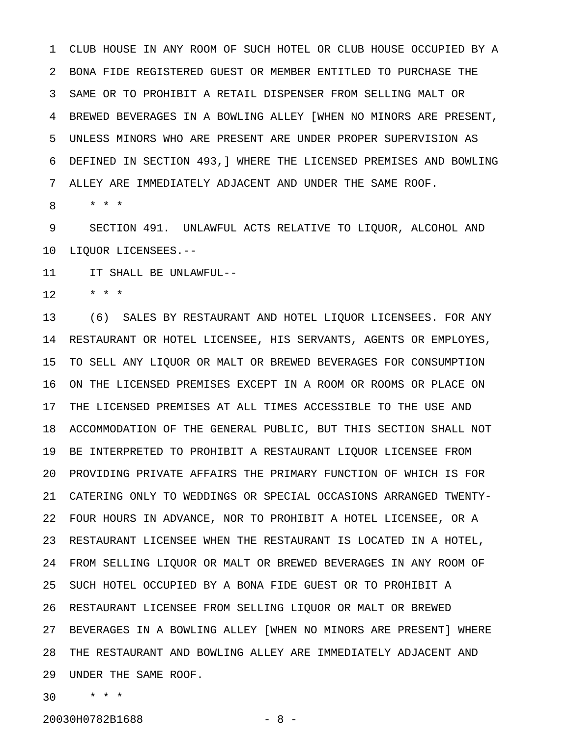1 CLUB HOUSE IN ANY ROOM OF SUCH HOTEL OR CLUB HOUSE OCCUPIED BY A 2 BONA FIDE REGISTERED GUEST OR MEMBER ENTITLED TO PURCHASE THE 3 SAME OR TO PROHIBIT A RETAIL DISPENSER FROM SELLING MALT OR 4 BREWED BEVERAGES IN A BOWLING ALLEY [WHEN NO MINORS ARE PRESENT, 5 UNLESS MINORS WHO ARE PRESENT ARE UNDER PROPER SUPERVISION AS 6 DEFINED IN SECTION 493,] WHERE THE LICENSED PREMISES AND BOWLING 7 ALLEY ARE IMMEDIATELY ADJACENT AND UNDER THE SAME ROOF.

8 \* \* \*

9 SECTION 491. UNLAWFUL ACTS RELATIVE TO LIQUOR, ALCOHOL AND 10 LIQUOR LICENSEES.--

11 IT SHALL BE UNLAWFUL--

 $12 + * * * *$ 

13 (6) SALES BY RESTAURANT AND HOTEL LIQUOR LICENSEES. FOR ANY 14 RESTAURANT OR HOTEL LICENSEE, HIS SERVANTS, AGENTS OR EMPLOYES, 15 TO SELL ANY LIQUOR OR MALT OR BREWED BEVERAGES FOR CONSUMPTION 16 ON THE LICENSED PREMISES EXCEPT IN A ROOM OR ROOMS OR PLACE ON 17 THE LICENSED PREMISES AT ALL TIMES ACCESSIBLE TO THE USE AND 18 ACCOMMODATION OF THE GENERAL PUBLIC, BUT THIS SECTION SHALL NOT 19 BE INTERPRETED TO PROHIBIT A RESTAURANT LIQUOR LICENSEE FROM 20 PROVIDING PRIVATE AFFAIRS THE PRIMARY FUNCTION OF WHICH IS FOR 21 CATERING ONLY TO WEDDINGS OR SPECIAL OCCASIONS ARRANGED TWENTY-22 FOUR HOURS IN ADVANCE, NOR TO PROHIBIT A HOTEL LICENSEE, OR A 23 RESTAURANT LICENSEE WHEN THE RESTAURANT IS LOCATED IN A HOTEL, 24 FROM SELLING LIQUOR OR MALT OR BREWED BEVERAGES IN ANY ROOM OF 25 SUCH HOTEL OCCUPIED BY A BONA FIDE GUEST OR TO PROHIBIT A 26 RESTAURANT LICENSEE FROM SELLING LIQUOR OR MALT OR BREWED 27 BEVERAGES IN A BOWLING ALLEY [WHEN NO MINORS ARE PRESENT] WHERE 28 THE RESTAURANT AND BOWLING ALLEY ARE IMMEDIATELY ADJACENT AND 29 UNDER THE SAME ROOF.

30 \* \* \*

20030H0782B1688 - 8 -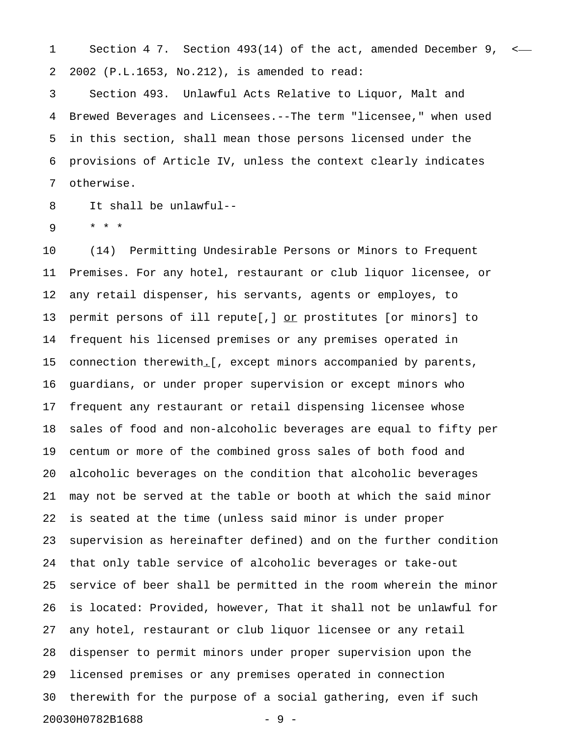1 Section 4 7. Section 493(14) of the act, amended December 9, < 2 2002 (P.L.1653, No.212), is amended to read:

3 Section 493. Unlawful Acts Relative to Liquor, Malt and 4 Brewed Beverages and Licensees.--The term "licensee," when used 5 in this section, shall mean those persons licensed under the 6 provisions of Article IV, unless the context clearly indicates 7 otherwise.

8 It shall be unlawful--

9 \* \* \*

10 (14) Permitting Undesirable Persons or Minors to Frequent 11 Premises. For any hotel, restaurant or club liquor licensee, or 12 any retail dispenser, his servants, agents or employes, to 13 permit persons of ill repute[,]  $or$  prostitutes [or minors] to</u> 14 frequent his licensed premises or any premises operated in 15 connection therewith.[, except minors accompanied by parents, \_ 16 guardians, or under proper supervision or except minors who 17 frequent any restaurant or retail dispensing licensee whose 18 sales of food and non-alcoholic beverages are equal to fifty per 19 centum or more of the combined gross sales of both food and 20 alcoholic beverages on the condition that alcoholic beverages 21 may not be served at the table or booth at which the said minor 22 is seated at the time (unless said minor is under proper 23 supervision as hereinafter defined) and on the further condition 24 that only table service of alcoholic beverages or take-out 25 service of beer shall be permitted in the room wherein the minor 26 is located: Provided, however, That it shall not be unlawful for 27 any hotel, restaurant or club liquor licensee or any retail 28 dispenser to permit minors under proper supervision upon the 29 licensed premises or any premises operated in connection 30 therewith for the purpose of a social gathering, even if such 20030H0782B1688 - 9 -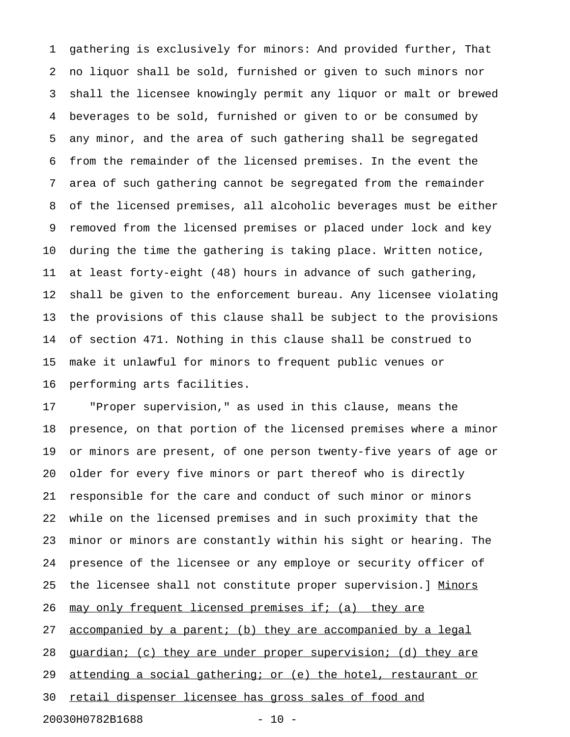1 gathering is exclusively for minors: And provided further, That 2 no liquor shall be sold, furnished or given to such minors nor 3 shall the licensee knowingly permit any liquor or malt or brewed 4 beverages to be sold, furnished or given to or be consumed by 5 any minor, and the area of such gathering shall be segregated 6 from the remainder of the licensed premises. In the event the 7 area of such gathering cannot be segregated from the remainder 8 of the licensed premises, all alcoholic beverages must be either 9 removed from the licensed premises or placed under lock and key 10 during the time the gathering is taking place. Written notice, 11 at least forty-eight (48) hours in advance of such gathering, 12 shall be given to the enforcement bureau. Any licensee violating 13 the provisions of this clause shall be subject to the provisions 14 of section 471. Nothing in this clause shall be construed to 15 make it unlawful for minors to frequent public venues or 16 performing arts facilities.

17 "Proper supervision," as used in this clause, means the 18 presence, on that portion of the licensed premises where a minor 19 or minors are present, of one person twenty-five years of age or 20 older for every five minors or part thereof who is directly 21 responsible for the care and conduct of such minor or minors 22 while on the licensed premises and in such proximity that the 23 minor or minors are constantly within his sight or hearing. The 24 presence of the licensee or any employe or security officer of 25 the licensee shall not constitute proper supervision.] Minors 26 may only frequent licensed premises if; (a) they are 27 accompanied by a parent; (b) they are accompanied by a legal 28 guardian; (c) they are under proper supervision; (d) they are 29 attending a social gathering; or (e) the hotel, restaurant or 30 retail dispenser licensee has gross sales of food and 20030H0782B1688 - 10 -